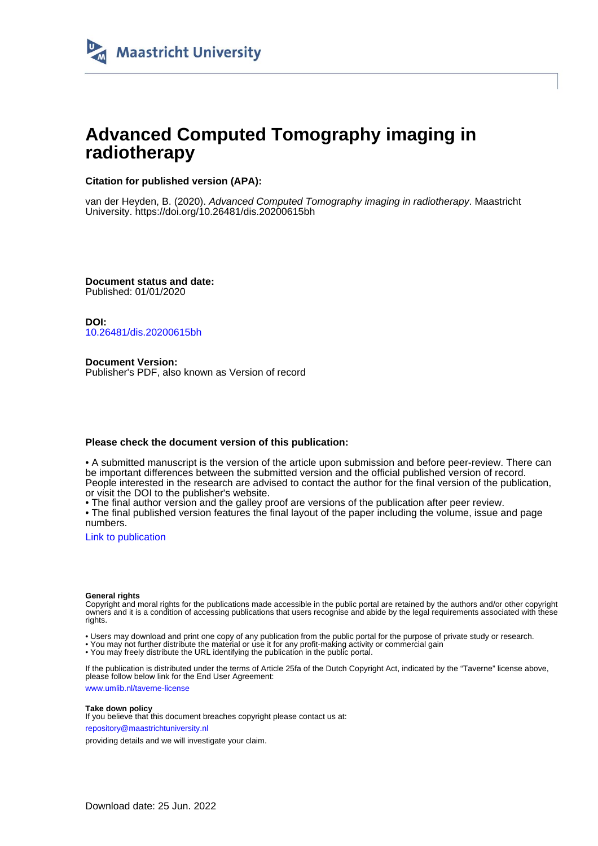

# **Advanced Computed Tomography imaging in radiotherapy**

### **Citation for published version (APA):**

van der Heyden, B. (2020). Advanced Computed Tomography imaging in radiotherapy. Maastricht University.<https://doi.org/10.26481/dis.20200615bh>

**Document status and date:** Published: 01/01/2020

**DOI:** [10.26481/dis.20200615bh](https://doi.org/10.26481/dis.20200615bh)

**Document Version:** Publisher's PDF, also known as Version of record

### **Please check the document version of this publication:**

• A submitted manuscript is the version of the article upon submission and before peer-review. There can be important differences between the submitted version and the official published version of record. People interested in the research are advised to contact the author for the final version of the publication, or visit the DOI to the publisher's website.

• The final author version and the galley proof are versions of the publication after peer review.

• The final published version features the final layout of the paper including the volume, issue and page numbers.

[Link to publication](https://cris.maastrichtuniversity.nl/en/publications/8cd70c95-8922-4225-8f82-c137465f3095)

#### **General rights**

Copyright and moral rights for the publications made accessible in the public portal are retained by the authors and/or other copyright owners and it is a condition of accessing publications that users recognise and abide by the legal requirements associated with these rights.

• Users may download and print one copy of any publication from the public portal for the purpose of private study or research.

• You may not further distribute the material or use it for any profit-making activity or commercial gain

• You may freely distribute the URL identifying the publication in the public portal.

If the publication is distributed under the terms of Article 25fa of the Dutch Copyright Act, indicated by the "Taverne" license above, please follow below link for the End User Agreement:

www.umlib.nl/taverne-license

#### **Take down policy**

If you believe that this document breaches copyright please contact us at: repository@maastrichtuniversity.nl

providing details and we will investigate your claim.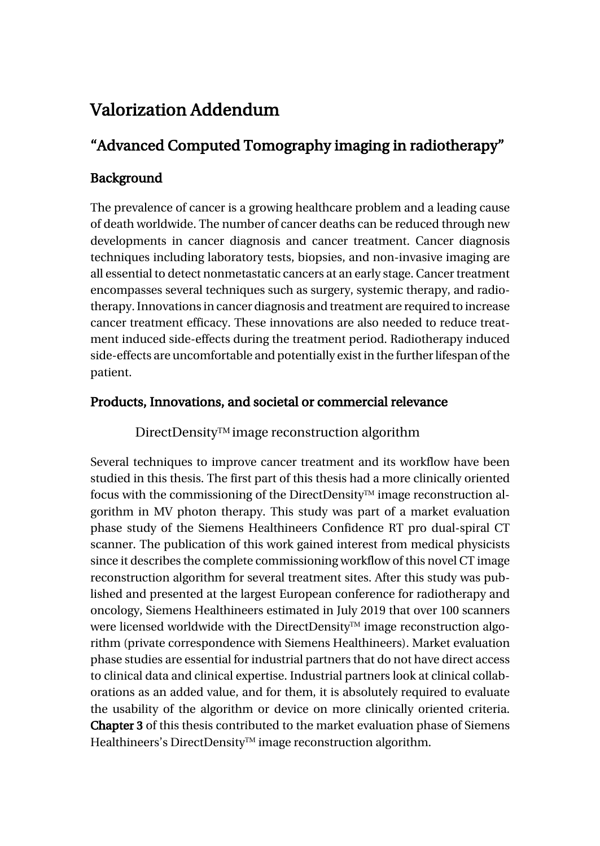# Valorization Addendum

# "Advanced Computed Tomography imaging in radiotherapy"

# Background

The prevalence of cancer is a growing healthcare problem and a leading cause of death worldwide. The number of cancer deaths can be reduced through new developments in cancer diagnosis and cancer treatment. Cancer diagnosis techniques including laboratory tests, biopsies, and non-invasive imaging are all essential to detect nonmetastatic cancers at an early stage. Cancer treatment encompasses several techniques such as surgery, systemic therapy, and radiotherapy. Innovations in cancer diagnosis and treatment are required to increase cancer treatment efficacy. These innovations are also needed to reduce treatment induced side-effects during the treatment period. Radiotherapy induced side-effects are uncomfortable and potentially exist in the further lifespan of the patient.

# Products, Innovations, and societal or commercial relevance

## $DirectDensity^{TM}$  image reconstruction algorithm

Several techniques to improve cancer treatment and its workflow have been studied in this thesis. The first part of this thesis had a more clinically oriented focus with the commissioning of the DirectDensity<sup> $TM$ </sup> image reconstruction algorithm in MV photon therapy. This study was part of a market evaluation phase study of the Siemens Healthineers Confidence RT pro dual-spiral CT scanner. The publication of this work gained interest from medical physicists since it describes the complete commissioning workflow of this novel CT image reconstruction algorithm for several treatment sites. After this study was published and presented at the largest European conference for radiotherapy and oncology, Siemens Healthineers estimated in July 2019 that over 100 scanners were licensed worldwide with the DirectDensity<sup>TM</sup> image reconstruction algorithm (private correspondence with Siemens Healthineers). Market evaluation phase studies are essential for industrial partners that do not have direct access to clinical data and clinical expertise. Industrial partners look at clinical collaborations as an added value, and for them, it is absolutely required to evaluate the usability of the algorithm or device on more clinically oriented criteria. Chapter 3 of this thesis contributed to the market evaluation phase of Siemens Healthineers's DirectDensity™ image reconstruction algorithm.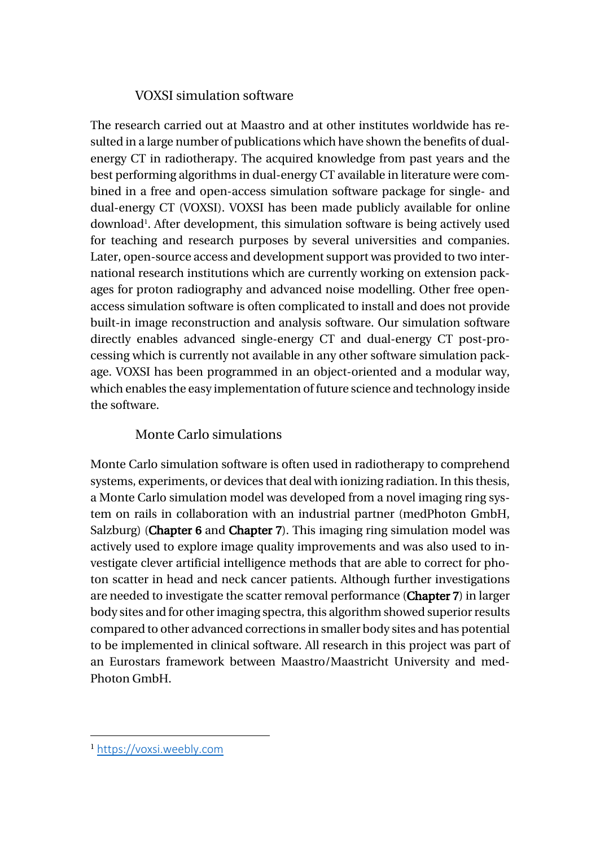## VOXSI simulation software

The research carried out at Maastro and at other institutes worldwide has resulted in a large number of publications which have shown the benefits of dualenergy CT in radiotherapy. The acquired knowledge from past years and the best performing algorithms in dual-energy CT available in literature were combined in a free and open-access simulation software package for single- and dual-energy CT (VOXSI). VOXSI has been made publicly available for online download1 . After development, this simulation software is being actively used for teaching and research purposes by several universities and companies. Later, open-source access and development support was provided to two international research institutions which are currently working on extension packages for proton radiography and advanced noise modelling. Other free openaccess simulation software is often complicated to install and does not provide built-in image reconstruction and analysis software. Our simulation software directly enables advanced single-energy CT and dual-energy CT post-processing which is currently not available in any other software simulation package. VOXSI has been programmed in an object-oriented and a modular way, which enables the easy implementation of future science and technology inside the software.

## Monte Carlo simulations

Monte Carlo simulation software is often used in radiotherapy to comprehend systems, experiments, or devices that deal with ionizing radiation. In this thesis, a Monte Carlo simulation model was developed from a novel imaging ring system on rails in collaboration with an industrial partner (medPhoton GmbH, Salzburg) (Chapter 6 and Chapter 7). This imaging ring simulation model was actively used to explore image quality improvements and was also used to investigate clever artificial intelligence methods that are able to correct for photon scatter in head and neck cancer patients. Although further investigations are needed to investigate the scatter removal performance (Chapter 7) in larger body sites and for other imaging spectra, this algorithm showed superior results compared to other advanced corrections in smaller body sites and has potential to be implemented in clinical software. All research in this project was part of an Eurostars framework between Maastro/Maastricht University and med-Photon GmbH.

<sup>1</sup> https://voxsi.weebly.com